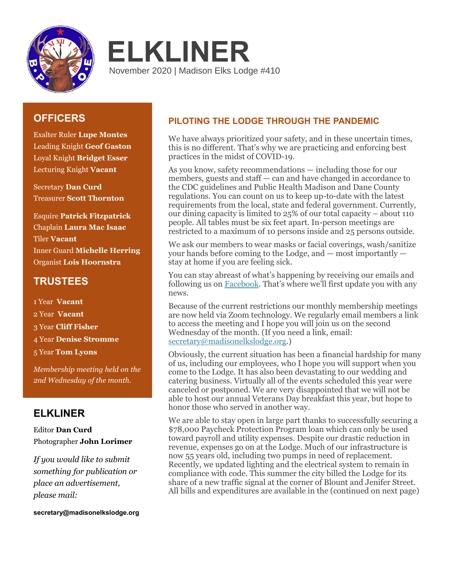



# **OFFICERS**

Exalter Ruler **Lupe Montes** Leading Knight **Geof Gaston** Loyal Knight **Bridget Esser** Lecturing Knight **Vacant**

Secretary **Dan Curd** Treasurer **Scott Thornton**

Esquire **Patrick Fitzpatrick** Chaplain **Laura Mac Isaac** Tiler **Vacant** Inner Guard **Michelle Herring** Organist **Lois Hoornstra**

# **TRUSTEES**

1 Year **Vacant** 2 Year **Vacant** 3 Year **Cliff Fisher** 4 Year **Denise Stromme** 5 Year **Tom Lyons**

*Membership meeting held on the 2nd Wednesday of the month.*

# **ELKLINER**

Editor **Dan Curd** Photographer **John Lorimer**

*If you would like to submit something for publication or place an advertisement, please mail:* 

**secretary@madisonelkslodge.org**

# **PILOTING THE LODGE THROUGH THE PANDEMIC**

We have always prioritized your safety, and in these uncertain times, this is no different. That's why we are practicing and enforcing best practices in the midst of COVID-19.

As you know, safety recommendations — including those for our members, guests and staff — can and have changed in accordance to the CDC guidelines and Public Health Madison and Dane County regulations. You can count on us to keep up-to-date with the latest requirements from the local, state and federal government. Currently, our dining capacity is limited to 25% of our total capacity – about 110 people. All tables must be six feet apart. In-person meetings are restricted to a maximum of 10 persons inside and 25 persons outside.

We ask our members to wear masks or facial coverings, wash/sanitize your hands before coming to the Lodge, and — most importantly stay at home if you are feeling sick.

You can stay abreast of what's happening by receiving our emails and following us on [Facebook.](https://www.facebook.com/Elks410/) That's where we'll first update you with any news.

Because of the current restrictions our monthly membership meetings are now held via Zoom technology. We regularly email members a link to access the meeting and I hope you will join us on the second Wednesday of the month. (If you need a link, email: [secretary@madisonelkslodge.org.](mailto:secretary@madisonelkslodge.org))

Obviously, the current situation has been a financial hardship for many of us, including our employees, who I hope you will support when you come to the Lodge. It has also been devastating to our wedding and catering business. Virtually all of the events scheduled this year were canceled or postponed. We are very disappointed that we will not be able to host our annual Veterans Day breakfast this year, but hope to honor those who served in another way.

We are able to stay open in large part thanks to successfully securing a \$78,000 Paycheck Protection Program loan which can only be used toward payroll and utility expenses. Despite our drastic reduction in revenue, expenses go on at the Lodge. Much of our infrastructure is now 55 years old, including two pumps in need of replacement. Recently, we updated lighting and the electrical system to remain in compliance with code. This summer the city billed the Lodge for its share of a new traffic signal at the corner of Blount and Jenifer Street. All bills and expenditures are available in the (continued on next page)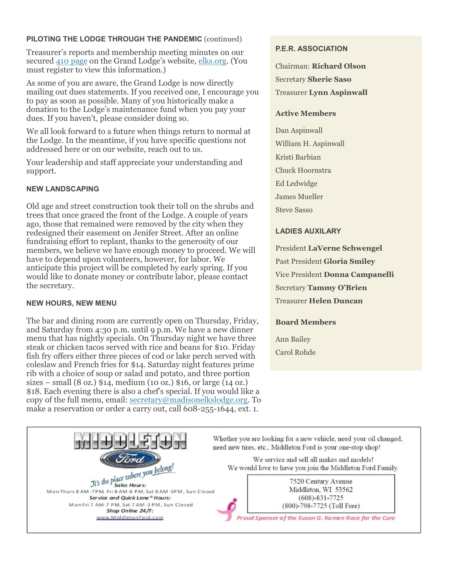### **PILOTING THE LODGE THROUGH THE PANDEMIC** (continued)

Treasurer's reports and membership meeting minutes on our secured [410 page](https://www.elks.org/lodges/home.cfm?LodgeNumber=410) on the Grand Lodge's website[, elks.org.](https://www.elks.org/) (You must register to view this information.)

As some of you are aware, the Grand Lodge is now directly mailing out dues statements. If you received one, I encourage you to pay as soon as possible. Many of you historically make a donation to the Lodge's maintenance fund when you pay your dues. If you haven't, please consider doing so.

We all look forward to a future when things return to normal at the Lodge. In the meantime, if you have specific questions not addressed here or on our website, reach out to us.

Your leadership and staff appreciate your understanding and support.

### **NEW LANDSCAPING**

Old age and street construction took their toll on the shrubs and trees that once graced the front of the Lodge. A couple of years ago, those that remained were removed by the city when they redesigned their easement on Jenifer Street. After an online fundraising effort to replant, thanks to the generosity of our members, we believe we have enough money to proceed. We will have to depend upon volunteers, however, for labor. We anticipate this project will be completed by early spring. If you would like to donate money or contribute labor, please contact the secretary.

### **NEW HOURS, NEW MENU**

The bar and dining room are currently open on Thursday, Friday, and Saturday from 4:30 p.m. until 9 p.m. We have a new dinner menu that has nightly specials. On Thursday night we have three steak or chicken tacos served with rice and beans for \$10. Friday fish fry offers either three pieces of cod or lake perch served with coleslaw and French fries for \$14. Saturday night features prime rib with a choice of soup or salad and potato, and three portion sizes – small  $(8 \text{ oz.})$  \$14, medium  $(10 \text{ oz.})$  \$16, or large  $(14 \text{ oz.})$ \$18. Each evening there is also a chef's special. If you would like a copy of the full menu, email: [secretary@madisonelkslodge.org.](mailto:secretary@madisonelkslodge.org) To make a reservation or order a carry out, call 608-255-1644, ext. 1.

### **P.E.R. ASSOCIATION**

Chairman: **Richard Olson** Secretary **Sherie Saso** Treasurer **Lynn Aspinwall**

#### **Active Members**

Dan Aspinwall William H. Aspinwall Kristi Barbian Chuck Hoornstra Ed Ledwidge James Mueller Steve Sasso

#### **LADIES AUXILARY**

President **LaVerne Schwengel** Past President **Gloria Smiley** Vice President **Donna Campanelli** Secretary **Tammy O'Brien** Treasurer **Helen Duncan**

#### **Board Members**

Ann Bailey Carol Rohde

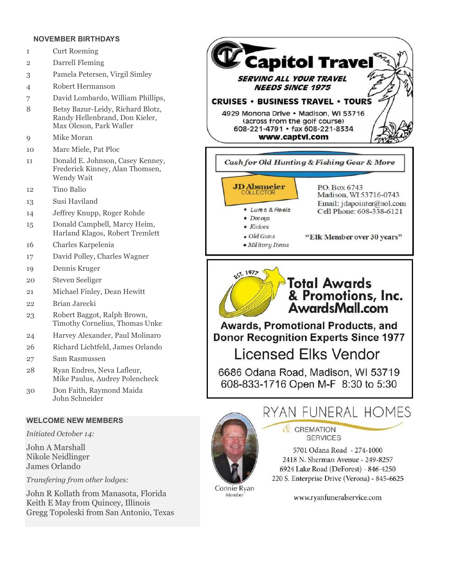#### **NOVEMBER BIRTHDAYS**

- 1 Curt Roeming
- 2 Darrell Fleming
- 3 Pamela Petersen, Virgil Simley
- 4 Robert Hermanson
- 7 David Lombardo, William Phillips,
- 8 Betsy Bazur-Leidy, Richard Blotz, Randy Hellenbrand, Don Kieler, Max Oleson, Park Waller
- 9 Mike Moran
- 10 Marc Miele, Pat Ploc
- 11 Donald E. Johnson, Casey Kenney, Frederick Kinney, Alan Thomsen, Wendy Wait
- 12 Tino Balio
- 13 Susi Haviland
- 14 Jeffrey Knupp, Roger Rohde
- 15 Donald Campbell, Marcy Heim, Harland Klagos, Robert Tremlett
- 16 Charles Karpelenia
- 17 David Polley, Charles Wagner
- 19 Dennis Kruger
- 20 Steven Seeliger
- 21 Michael Finley, Dean Hewitt
- 22 Brian Jarecki
- 23 Robert Baggot, Ralph Brown, Timothy Cornelius, Thomas Unke
- 24 Harvey Alexander, Paul Molinaro
- 26 Richard Lichtfeld, James Orlando
- 27 Sam Rasmussen
- 28 Ryan Endres, Neva Lafleur, Mike Paulus, Audrey Polencheck
- 30 Don Faith, Raymond Maida John Schneider

### **WELCOME NEW MEMBERS**

*Initiated October 14:*

John A Marshall Nikole Neidlinger James Orlando

*Transfering from other lodges:*

John R Kollath from Manasota, Florida Keith E May from Quincey, Illinois Gregg Topoleski from San Antonio, Texas